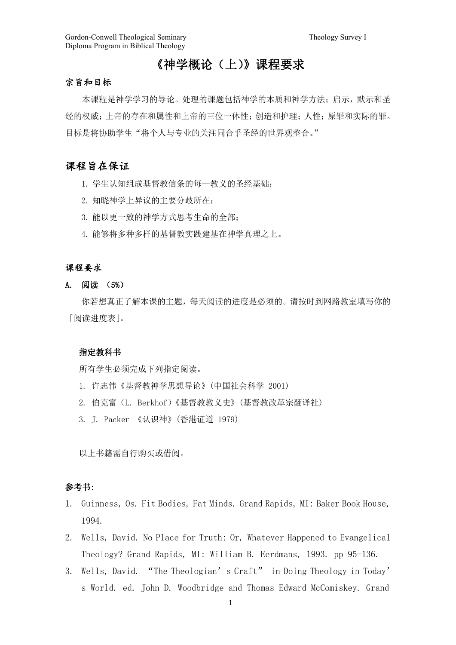# 《神学概论(上)》课程要求

#### 宗旨和目标

本课程是神学学习的导论。处理的课题包括神学的本质和神学方法;启示,默示和圣 经的权威;上帝的存在和属性和上帝的三位一体性;创造和护理;人性;原罪和实际的罪。 目标是将协助学生"将个人与专业的关注同合乎圣经的世界观整合。"

# 课程旨在保证

- 1. 学生认知组成基督教信条的每一教义的圣经基础;
- 2. 知晓神学上异议的主要分歧所在;
- 3. 能以更一致的神学方式思考生命的全部;
- 4. 能够将多种多样的基督教实践建基在神学真理之上。

### 课程要求

A. 阅读 (5%)

你若想真正了解本课的主题,每天阅读的进度是必须的。请按时到网路教室填写你的 「阅读进度表」。

## 指定教科书

所有学生必须完成下列指定阅读。

- 1. 许志伟《基督教神学思想导论》(中国社会科学 2001)
- 2. 伯克富(L. Berkhof)《基督教教义史》(基督教改革宗翻译社)
- 3. J. Packer 《认识神》(香港证道 1979)

以上书籍需自行购买或借阅。

# 参考书:

- 1. Guinness, Os. Fit Bodies, Fat Minds. Grand Rapids, MI: Baker Book House, 1994.
- 2. Wells, David. No Place for Truth: Or, Whatever Happened to Evangelical Theology? Grand Rapids, MI: William B. Eerdmans, 1993. pp 95-136.
- 3. Wells, David. "The Theologian's Craft" in Doing Theology in Today' s World. ed. John D. Woodbridge and Thomas Edward McComiskey. Grand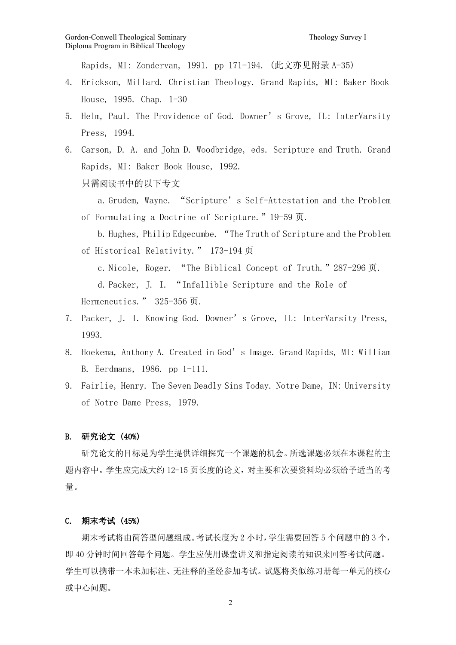Rapids, MI: Zondervan, 1991. pp 171-194. (此文亦见附录 A-35)

- 4. Erickson, Millard. Christian Theology. Grand Rapids, MI: Baker Book House, 1995. Chap. 1-30
- 5. Helm, Paul. The Providence of God. Downer's Grove, IL: InterVarsity Press, 1994.
- 6. Carson, D. A. and John D. Woodbridge, eds. Scripture and Truth. Grand Rapids, MI: Baker Book House, 1992. 只需阅读书中的以下专文

a. Grudem, Wayne. "Scripture's Self-Attestation and the Problem of Formulating a Doctrine of Scripture."19-59 页.

b. Hughes, Philip Edgecumbe. "The Truth of Scripture and the Problem of Historical Relativity." 173-194 页

c. Nicole, Roger. "The Biblical Concept of Truth."287-296 页. d. Packer, J. I. "Infallible Scripture and the Role of Hermeneutics. " 325-356 页.

- 7. Packer, J. I. Knowing God. Downer's Grove, IL: InterVarsity Press, 1993.
- 8. Hoekema, Anthony A. Created in God's Image. Grand Rapids, MI: William B. Eerdmans, 1986. pp 1-111.
- 9. Fairlie, Henry. The Seven Deadly Sins Today. Notre Dame, IN: University of Notre Dame Press, 1979.

#### B. 研究论文 (40%)

研究论文的目标是为学生提供详细探究一个课题的机会。所选课题必须在本课程的主 题内容中。学生应完成大约 12-15 页长度的论文,对主要和次要资料均必须给予适当的考 量。

#### C. 期末考试 (45%)

期末考试将由简答型问题组成。考试长度为 2 小时,学生需要回答 5 个问题中的 3 个, 即 40 分钟时间回答每个问题。学生应使用课堂讲义和指定阅读的知识来回答考试问题。 学生可以携带一本未加标注、无注释的圣经参加考试。试题将类似练习册每一单元的核心 或中心问题。